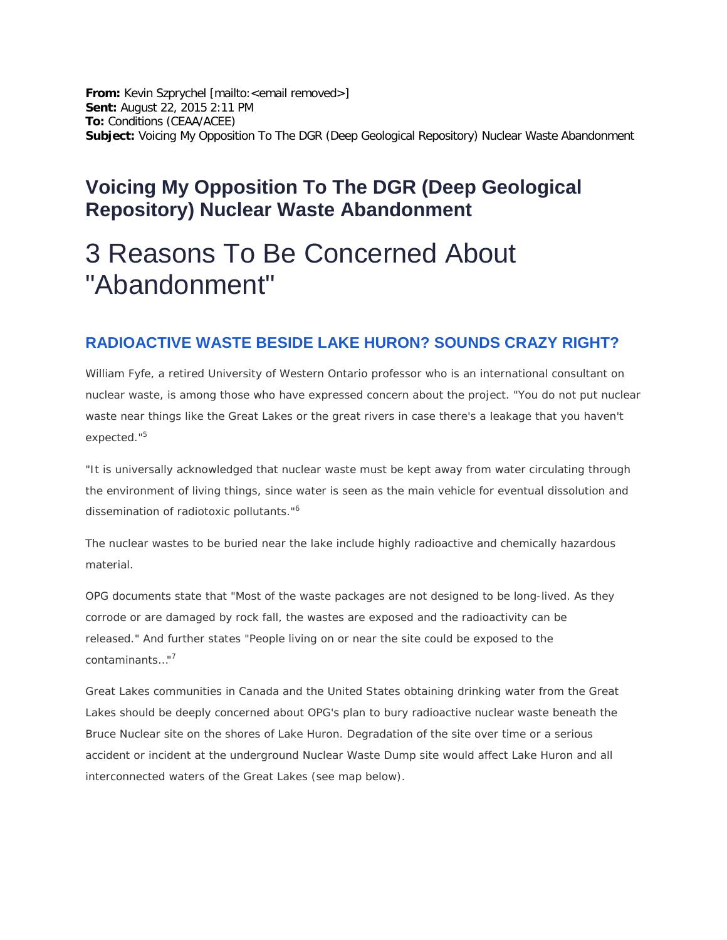**From:** Kevin Szprychel [mailto:<email removed>] **Sent:** August 22, 2015 2:11 PM **To:** Conditions (CEAA/ACEE) **Subject:** Voicing My Opposition To The DGR (Deep Geological Repository) Nuclear Waste Abandonment

# **Voicing My Opposition To The DGR (Deep Geological Repository) Nuclear Waste Abandonment**

# 3 Reasons To Be Concerned About "Abandonment"

#### **RADIOACTIVE WASTE BESIDE LAKE HURON? SOUNDS CRAZY RIGHT?**

William Fyfe, a retired University of Western Ontario professor who is an international consultant on nuclear waste, is among those who have expressed concern about the project. *"You do not put nuclear*  waste near things like the Great Lakes or the great rivers in case there's a leakage that you haven't *expected."*<sup>5</sup>

*"It is universally acknowledged that nuclear waste must be kept away from water circulating through the environment of living things, since water is seen as the main vehicle for eventual dissolution and dissemination of radiotoxic pollutants."*<sup>6</sup>

The nuclear wastes to be buried near the lake include highly radioactive and chemically hazardous material.

OPG documents state that *"Most of the waste packages are not designed to be long-lived. As they corrode or are damaged by rock fall, the wastes are exposed and the radioactivity can be released."* And further states *"People living on or near the site could be exposed to the contaminants…"*<sup>7</sup>

Great Lakes communities in Canada and the United States obtaining drinking water from the Great Lakes should be deeply concerned about OPG's plan to bury radioactive nuclear waste beneath the Bruce Nuclear site on the shores of Lake Huron. Degradation of the site over time or a serious accident or incident at the underground Nuclear Waste Dump site would affect Lake Huron and all interconnected waters of the Great Lakes (see map below).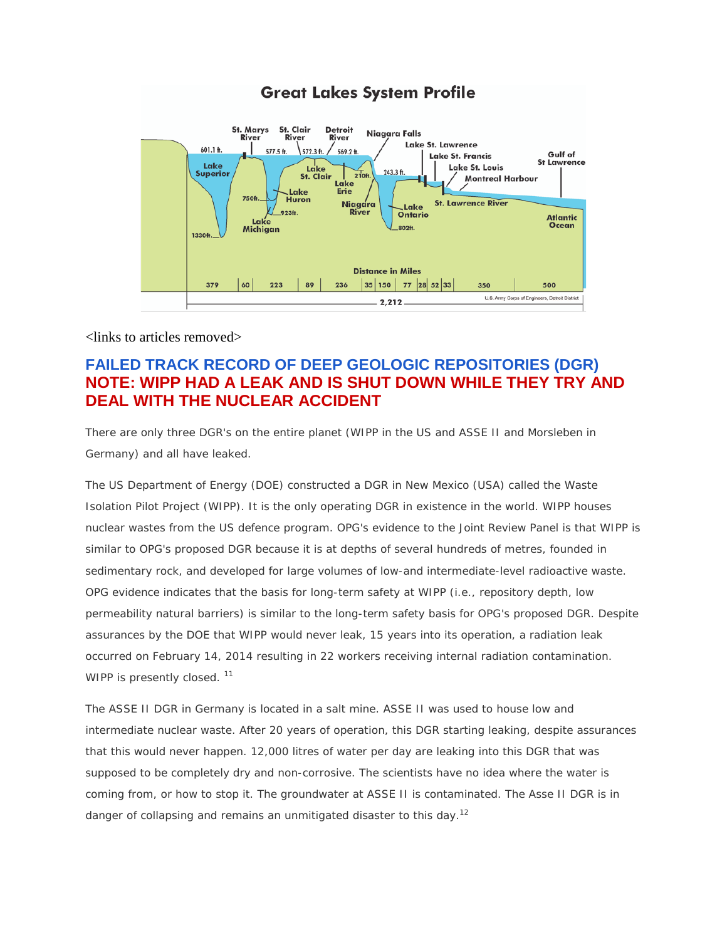

<links to articles removed>

## **FAILED TRACK RECORD OF DEEP GEOLOGIC REPOSITORIES (DGR) NOTE: WIPP HAD A LEAK AND IS SHUT DOWN WHILE THEY TRY AND DEAL WITH THE NUCLEAR ACCIDENT**

There are only three DGR's on the entire planet (WIPP in the US and ASSE II and Morsleben in Germany) and all have leaked.

The US Department of Energy (DOE) constructed a DGR in New Mexico (USA) called the Waste Isolation Pilot Project (WIPP). It is the only operating DGR in existence in the world. WIPP houses nuclear wastes from the US defence program. OPG's evidence to the Joint Review Panel is that WIPP is similar to OPG's proposed DGR because it is at depths of several hundreds of metres, founded in sedimentary rock, and developed for large volumes of low-and intermediate-level radioactive waste. OPG evidence indicates that the basis for long-term safety at WIPP (i.e., repository depth, low permeability natural barriers) is similar to the long-term safety basis for OPG's proposed DGR. Despite assurances by the DOE that WIPP would never leak, 15 years into its operation, a radiation leak occurred on February 14, 2014 resulting in 22 workers receiving internal radiation contamination. WIPP is presently closed.<sup>11</sup>

The ASSE II DGR in Germany is located in a salt mine. ASSE II was used to house low and intermediate nuclear waste. After 20 years of operation, this DGR starting leaking, despite assurances that this would never happen. 12,000 litres of water per day are leaking into this DGR that was supposed to be completely dry and non-corrosive. The scientists have no idea where the water is coming from, or how to stop it. The groundwater at ASSE II is contaminated. The Asse II DGR is in danger of collapsing and remains an unmitigated disaster to this day.<sup>12</sup>